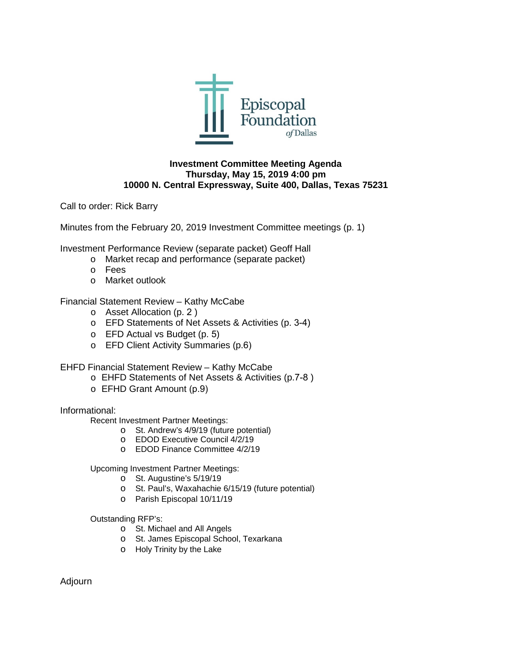

## **Investment Committee Meeting Agenda Thursday, May 15, 2019 4:00 pm 10000 N. Central Expressway, Suite 400, Dallas, Texas 75231**

Call to order: Rick Barry

Minutes from the February 20, 2019 Investment Committee meetings (p. 1)

Investment Performance Review (separate packet) Geoff Hall

- o Market recap and performance (separate packet)
- o Fees
- o Market outlook

# Financial Statement Review – Kathy McCabe

- o Asset Allocation (p. 2 )
- o EFD Statements of Net Assets & Activities (p. 3-4)
- o EFD Actual vs Budget (p. 5)
- o EFD Client Activity Summaries (p.6)

EHFD Financial Statement Review – Kathy McCabe

- o EHFD Statements of Net Assets & Activities (p.7-8 )
- o EFHD Grant Amount (p.9)

### Informational:

Recent Investment Partner Meetings:

- o St. Andrew's 4/9/19 (future potential)
- o EDOD Executive Council 4/2/19
- o EDOD Finance Committee 4/2/19

Upcoming Investment Partner Meetings:

- o St. Augustine's 5/19/19
- o St. Paul's, Waxahachie 6/15/19 (future potential)
- o Parish Episcopal 10/11/19

Outstanding RFP's:

- o St. Michael and All Angels
- o St. James Episcopal School, Texarkana
- o Holy Trinity by the Lake

Adjourn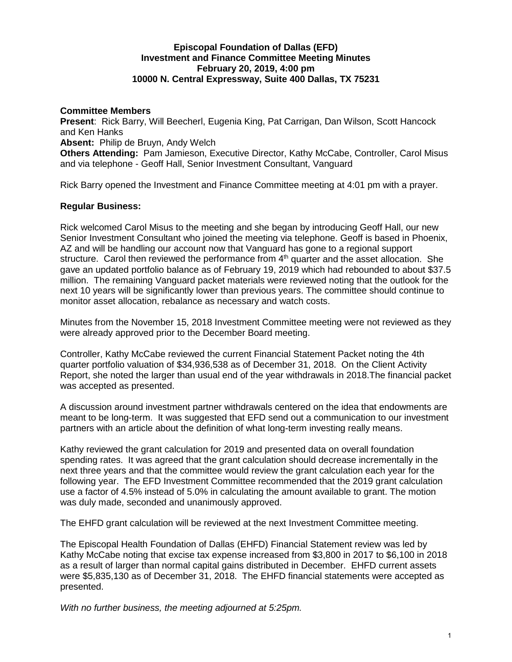# **Episcopal Foundation of Dallas (EFD) Investment and Finance Committee Meeting Minutes February 20, 2019, 4:00 pm 10000 N. Central Expressway, Suite 400 Dallas, TX 75231**

### **Committee Members**

**Present**: Rick Barry, Will Beecherl, Eugenia King, Pat Carrigan, Dan Wilson, Scott Hancock and Ken Hanks

**Absent:** Philip de Bruyn, Andy Welch

**Others Attending:** Pam Jamieson, Executive Director, Kathy McCabe, Controller, Carol Misus and via telephone - Geoff Hall, Senior Investment Consultant, Vanguard

Rick Barry opened the Investment and Finance Committee meeting at 4:01 pm with a prayer.

# **Regular Business:**

Rick welcomed Carol Misus to the meeting and she began by introducing Geoff Hall, our new Senior Investment Consultant who joined the meeting via telephone. Geoff is based in Phoenix, AZ and will be handling our account now that Vanguard has gone to a regional support structure. Carol then reviewed the performance from  $4<sup>th</sup>$  quarter and the asset allocation. She gave an updated portfolio balance as of February 19, 2019 which had rebounded to about \$37.5 million. The remaining Vanguard packet materials were reviewed noting that the outlook for the next 10 years will be significantly lower than previous years. The committee should continue to monitor asset allocation, rebalance as necessary and watch costs.

Minutes from the November 15, 2018 Investment Committee meeting were not reviewed as they were already approved prior to the December Board meeting.

Controller, Kathy McCabe reviewed the current Financial Statement Packet noting the 4th quarter portfolio valuation of \$34,936,538 as of December 31, 2018. On the Client Activity Report, she noted the larger than usual end of the year withdrawals in 2018.The financial packet was accepted as presented.

A discussion around investment partner withdrawals centered on the idea that endowments are meant to be long-term. It was suggested that EFD send out a communication to our investment partners with an article about the definition of what long-term investing really means.

Kathy reviewed the grant calculation for 2019 and presented data on overall foundation spending rates. It was agreed that the grant calculation should decrease incrementally in the next three years and that the committee would review the grant calculation each year for the following year. The EFD Investment Committee recommended that the 2019 grant calculation use a factor of 4.5% instead of 5.0% in calculating the amount available to grant. The motion was duly made, seconded and unanimously approved.

The EHFD grant calculation will be reviewed at the next Investment Committee meeting.

The Episcopal Health Foundation of Dallas (EHFD) Financial Statement review was led by Kathy McCabe noting that excise tax expense increased from \$3,800 in 2017 to \$6,100 in 2018 as a result of larger than normal capital gains distributed in December. EHFD current assets were \$5,835,130 as of December 31, 2018. The EHFD financial statements were accepted as presented.

*With no further business, the meeting adjourned at 5:25pm.*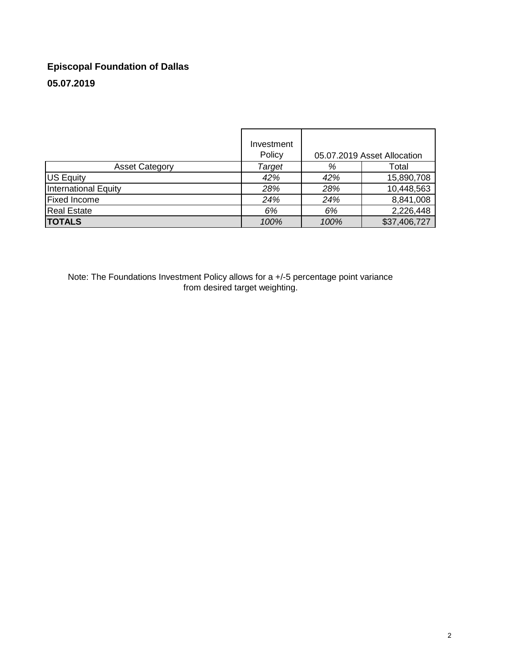# **Episcopal Foundation of Dallas 05.07.2019**

|                             | Investment<br>Policy |      | 05.07.2019 Asset Allocation |
|-----------------------------|----------------------|------|-----------------------------|
| <b>Asset Category</b>       | Target               | %    | Total                       |
| <b>US Equity</b>            | 42%                  | 42%  | 15,890,708                  |
| <b>International Equity</b> | 28%                  | 28%  | 10,448,563                  |
| <b>Fixed Income</b>         | 24%                  | 24%  | 8,841,008                   |
| <b>Real Estate</b>          | 6%                   | 6%   | 2,226,448                   |
| <b>TOTALS</b>               | 100%                 | 100% | \$37,406,727                |

Note: The Foundations Investment Policy allows for a +/-5 percentage point variance from desired target weighting.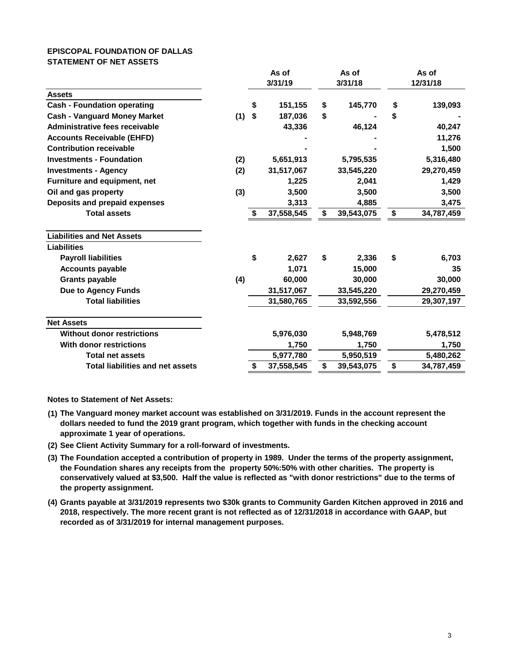#### **EPISCOPAL FOUNDATION OF DALLAS STATEMENT OF NET ASSETS**

|                                         | As of |         | As of      | As of            |          |            |  |
|-----------------------------------------|-------|---------|------------|------------------|----------|------------|--|
|                                         |       | 3/31/19 |            | 3/31/18          | 12/31/18 |            |  |
| <b>Assets</b>                           |       |         |            |                  |          |            |  |
| <b>Cash - Foundation operating</b>      |       | \$      | 151,155    | \$<br>145,770    | \$       | 139,093    |  |
| <b>Cash - Vanguard Money Market</b>     | (1)   | \$      | 187,036    | \$               | \$       |            |  |
| Administrative fees receivable          |       |         | 43,336     | 46,124           |          | 40,247     |  |
| <b>Accounts Receivable (EHFD)</b>       |       |         |            |                  |          | 11,276     |  |
| <b>Contribution receivable</b>          |       |         |            |                  |          | 1,500      |  |
| <b>Investments - Foundation</b>         | (2)   |         | 5,651,913  | 5,795,535        |          | 5,316,480  |  |
| <b>Investments - Agency</b>             | (2)   |         | 31,517,067 | 33,545,220       |          | 29,270,459 |  |
| Furniture and equipment, net            |       |         | 1,225      | 2,041            |          | 1,429      |  |
| Oil and gas property                    | (3)   |         | 3,500      | 3,500            |          | 3,500      |  |
| Deposits and prepaid expenses           |       |         | 3,313      | 4,885            |          | 3,475      |  |
| <b>Total assets</b>                     |       | \$      | 37,558,545 | \$<br>39,543,075 | \$       | 34,787,459 |  |
| <b>Liabilities and Net Assets</b>       |       |         |            |                  |          |            |  |
| <b>Liabilities</b>                      |       |         |            |                  |          |            |  |
| <b>Payroll liabilities</b>              |       | \$      | 2,627      | \$<br>2,336      | \$       | 6,703      |  |
| <b>Accounts payable</b>                 |       |         | 1,071      | 15,000           |          | 35         |  |
| <b>Grants payable</b>                   | (4)   |         | 60,000     | 30,000           |          | 30,000     |  |
| <b>Due to Agency Funds</b>              |       |         | 31,517,067 | 33,545,220       |          | 29,270,459 |  |
| <b>Total liabilities</b>                |       |         | 31,580,765 | 33,592,556       |          | 29,307,197 |  |
| <b>Net Assets</b>                       |       |         |            |                  |          |            |  |
| <b>Without donor restrictions</b>       |       |         | 5,976,030  | 5,948,769        |          | 5,478,512  |  |
| <b>With donor restrictions</b>          |       |         | 1,750      | 1,750            |          | 1,750      |  |
| <b>Total net assets</b>                 |       |         | 5,977,780  | 5,950,519        |          | 5,480,262  |  |
| <b>Total liabilities and net assets</b> |       | \$      | 37,558,545 | \$<br>39,543,075 | \$       | 34,787,459 |  |

**Notes to Statement of Net Assets:**

- **(1) The Vanguard money market account was established on 3/31/2019. Funds in the account represent the dollars needed to fund the 2019 grant program, which together with funds in the checking account approximate 1 year of operations.**
- **(2) See Client Activity Summary for a roll-forward of investments.**
- **(3) The Foundation accepted a contribution of property in 1989. Under the terms of the property assignment, the Foundation shares any receipts from the property 50%:50% with other charities. The property is conservatively valued at \$3,500. Half the value is reflected as "with donor restrictions" due to the terms of the property assignment.**
- **(4) Grants payable at 3/31/2019 represents two \$30k grants to Community Garden Kitchen approved in 2016 and 2018, respectively. The more recent grant is not reflected as of 12/31/2018 in accordance with GAAP, but recorded as of 3/31/2019 for internal management purposes.**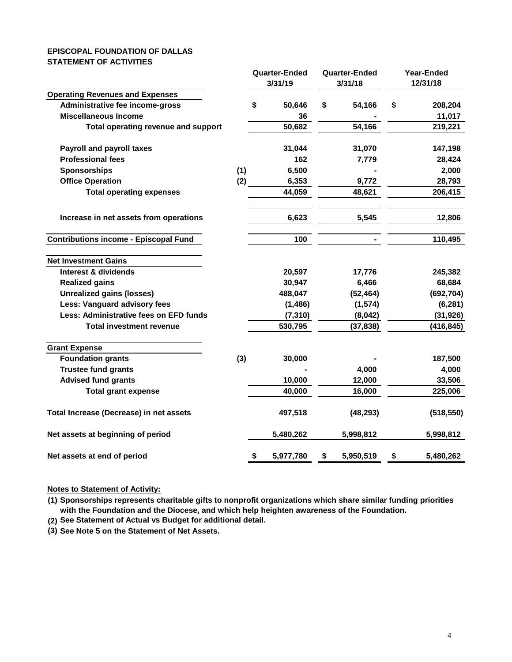#### **EPISCOPAL FOUNDATION OF DALLAS STATEMENT OF ACTIVITIES**

|                                              |     | <b>Quarter-Ended</b><br>3/31/19 |           |         | <b>Quarter-Ended</b><br>3/31/18 | Year-Ended<br>12/31/18 |            |
|----------------------------------------------|-----|---------------------------------|-----------|---------|---------------------------------|------------------------|------------|
| <b>Operating Revenues and Expenses</b>       |     |                                 |           |         |                                 |                        |            |
| Administrative fee income-gross              |     | \$                              | 50,646    | \$      | 54,166                          | \$                     | 208,204    |
| <b>Miscellaneous Income</b>                  |     |                                 | 36        |         |                                 |                        | 11,017     |
| Total operating revenue and support          |     |                                 | 50,682    |         | 54,166                          |                        | 219,221    |
| <b>Payroll and payroll taxes</b>             |     |                                 | 31,044    |         | 31,070                          |                        | 147,198    |
| <b>Professional fees</b>                     |     |                                 | 162       |         | 7,779                           |                        | 28,424     |
| <b>Sponsorships</b>                          | (1) |                                 | 6,500     |         |                                 |                        | 2,000      |
| <b>Office Operation</b>                      | (2) |                                 | 6,353     |         | 9,772                           |                        | 28,793     |
| <b>Total operating expenses</b>              |     |                                 | 44,059    |         | 48,621                          |                        | 206,415    |
| Increase in net assets from operations       |     |                                 | 6,623     |         | 5,545                           |                        | 12,806     |
| <b>Contributions income - Episcopal Fund</b> |     |                                 | 100       |         |                                 |                        | 110,495    |
| <b>Net Investment Gains</b>                  |     |                                 |           |         |                                 |                        |            |
| Interest & dividends                         |     |                                 | 20,597    |         | 17,776                          |                        | 245,382    |
| <b>Realized gains</b>                        |     |                                 | 30,947    |         | 6,466                           |                        | 68,684     |
| <b>Unrealized gains (losses)</b>             |     |                                 | 488,047   |         | (52, 464)                       |                        | (692, 704) |
| Less: Vanguard advisory fees                 |     |                                 | (1, 486)  |         | (1, 574)                        |                        | (6, 281)   |
| Less: Administrative fees on EFD funds       |     |                                 | (7, 310)  | (8,042) |                                 | (31, 926)              |            |
| <b>Total investment revenue</b>              |     |                                 | 530,795   |         | (37, 838)                       |                        | (416, 845) |
| <b>Grant Expense</b>                         |     |                                 |           |         |                                 |                        |            |
| <b>Foundation grants</b>                     | (3) |                                 | 30,000    |         |                                 |                        | 187,500    |
| <b>Trustee fund grants</b>                   |     |                                 |           |         | 4,000                           |                        | 4,000      |
| <b>Advised fund grants</b>                   |     |                                 | 10,000    |         | 12,000                          |                        | 33,506     |
| <b>Total grant expense</b>                   |     |                                 | 40,000    |         | 16,000                          |                        | 225,006    |
| Total Increase (Decrease) in net assets      |     |                                 | 497,518   |         | (48, 293)                       |                        | (518, 550) |
| Net assets at beginning of period            |     |                                 | 5,480,262 |         | 5,998,812                       |                        | 5,998,812  |
| Net assets at end of period                  |     | \$                              | 5,977,780 | \$      | 5,950,519                       | \$                     | 5,480,262  |

#### **Notes to Statement of Activity:**

- **(1) Sponsorships represents charitable gifts to nonprofit organizations which share similar funding priorities with the Foundation and the Diocese, and which help heighten awareness of the Foundation.**
- **(2) See Statement of Actual vs Budget for additional detail.**
- **(3) See Note 5 on the Statement of Net Assets.**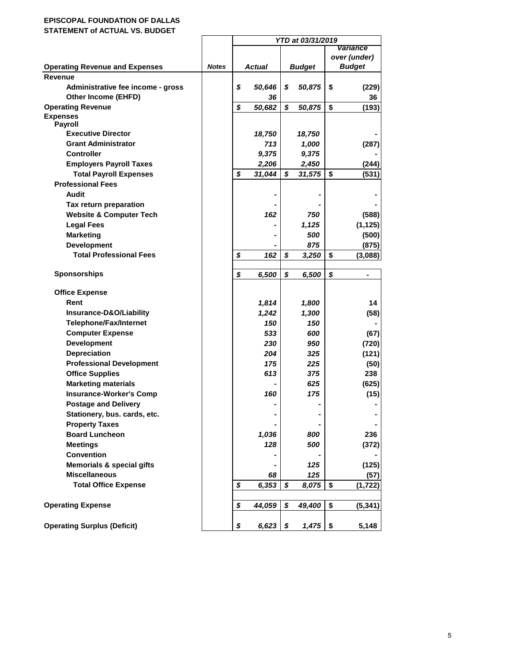# **EPISCOPAL FOUNDATION OF DALLAS**

**STATEMENT of ACTUAL VS. BUDGET**

|                                       |              | YTD at 03/31/2019 |        |               |        |              |                |  |  |
|---------------------------------------|--------------|-------------------|--------|---------------|--------|--------------|----------------|--|--|
|                                       |              |                   |        |               |        |              | Variance       |  |  |
|                                       |              |                   |        |               |        | over (under) |                |  |  |
| <b>Operating Revenue and Expenses</b> | <b>Notes</b> |                   | Actual | <b>Budget</b> |        |              | <b>Budget</b>  |  |  |
| <b>Revenue</b>                        |              |                   |        |               |        |              |                |  |  |
| Administrative fee income - gross     |              | \$                | 50,646 | \$            | 50,875 | \$           | (229)          |  |  |
| Other Income (EHFD)                   |              |                   | 36     |               |        |              | 36             |  |  |
| <b>Operating Revenue</b>              |              | \$                | 50,682 | \$            | 50,875 | \$           | (193)          |  |  |
| <b>Expenses</b>                       |              |                   |        |               |        |              |                |  |  |
| <b>Payroll</b>                        |              |                   |        |               |        |              |                |  |  |
| <b>Executive Director</b>             |              |                   | 18,750 |               | 18,750 |              |                |  |  |
| <b>Grant Administrator</b>            |              |                   | 713    |               | 1,000  |              | (287)          |  |  |
| <b>Controller</b>                     |              |                   | 9,375  |               | 9,375  |              |                |  |  |
| <b>Employers Payroll Taxes</b>        |              |                   | 2,206  |               | 2,450  |              | (244)          |  |  |
| <b>Total Payroll Expenses</b>         |              | \$                | 31,044 | \$            | 31,575 | \$           | (531)          |  |  |
| <b>Professional Fees</b>              |              |                   |        |               |        |              |                |  |  |
| <b>Audit</b>                          |              |                   |        |               |        |              |                |  |  |
| Tax return preparation                |              |                   |        |               |        |              |                |  |  |
| <b>Website &amp; Computer Tech</b>    |              |                   | 162    |               | 750    |              | (588)          |  |  |
| <b>Legal Fees</b>                     |              |                   |        |               | 1,125  |              | (1, 125)       |  |  |
| <b>Marketing</b>                      |              |                   |        |               | 500    |              | (500)          |  |  |
| <b>Development</b>                    |              |                   |        |               | 875    |              | (875)          |  |  |
| <b>Total Professional Fees</b>        |              | \$                | 162    | \$            | 3,250  | \$           | (3,088)        |  |  |
| <b>Sponsorships</b>                   |              | \$                | 6,500  | \$            | 6,500  | \$           | $\blacksquare$ |  |  |
| <b>Office Expense</b>                 |              |                   |        |               |        |              |                |  |  |
| Rent                                  |              |                   | 1,814  |               | 1,800  |              | 14             |  |  |
| Insurance-D&O/Liability               |              |                   | 1,242  |               | 1,300  |              | (58)           |  |  |
| <b>Telephone/Fax/Internet</b>         |              |                   | 150    |               | 150    |              |                |  |  |
| <b>Computer Expense</b>               |              |                   | 533    |               | 600    |              | (67)           |  |  |
| <b>Development</b>                    |              |                   | 230    |               | 950    |              | (720)          |  |  |
| <b>Depreciation</b>                   |              |                   | 204    |               | 325    |              | (121)          |  |  |
| <b>Professional Development</b>       |              |                   | 175    |               | 225    |              | (50)           |  |  |
| <b>Office Supplies</b>                |              |                   | 613    |               | 375    |              | 238            |  |  |
| <b>Marketing materials</b>            |              |                   |        |               | 625    |              | (625)          |  |  |
| <b>Insurance-Worker's Comp</b>        |              |                   | 160    |               | 175    |              | (15)           |  |  |
| <b>Postage and Delivery</b>           |              |                   |        |               |        |              |                |  |  |
| Stationery, bus. cards, etc.          |              |                   |        |               |        |              |                |  |  |
| <b>Property Taxes</b>                 |              |                   |        |               |        |              |                |  |  |
| <b>Board Luncheon</b>                 |              |                   | 1,036  |               | 800    |              | 236            |  |  |
| <b>Meetings</b>                       |              |                   | 128    |               | 500    |              | (372)          |  |  |
| Convention                            |              |                   |        |               |        |              |                |  |  |
| <b>Memorials &amp; special gifts</b>  |              |                   |        |               | 125    |              | (125)          |  |  |
| <b>Miscellaneous</b>                  |              |                   | 68     |               | 125    |              | (57)           |  |  |
| <b>Total Office Expense</b>           |              | \$                | 6,353  | \$            | 8,075  | \$           | (1,722)        |  |  |
|                                       |              |                   |        |               |        |              |                |  |  |
| <b>Operating Expense</b>              |              | \$                | 44,059 | \$            | 49,400 | \$           | (5, 341)       |  |  |
| <b>Operating Surplus (Deficit)</b>    |              | \$                | 6,623  | \$            | 1,475  | \$           | 5,148          |  |  |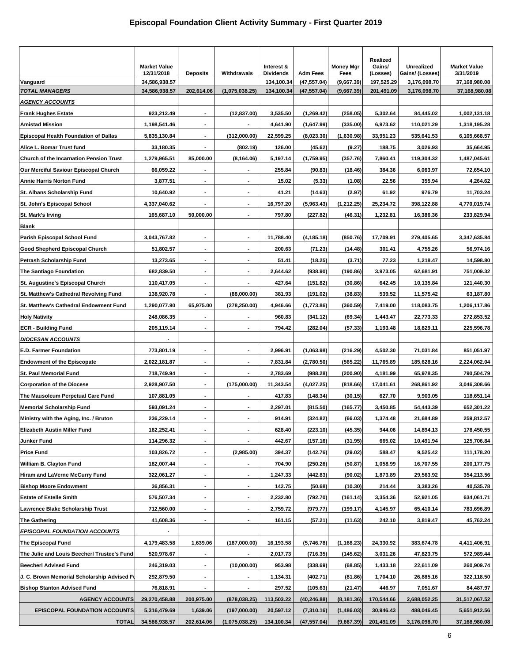|                                              | <b>Market Value</b><br>12/31/2018 | <b>Deposits</b>          | Withdrawals              | Interest &<br><b>Dividends</b> | <b>Adm Fees</b> | <b>Money Mgr</b><br>Fees | Realized<br>Gains/<br>(Losses) | <b>Unrealized</b><br>Gains/ (Losses) | <b>Market Value</b><br>3/31/2019 |
|----------------------------------------------|-----------------------------------|--------------------------|--------------------------|--------------------------------|-----------------|--------------------------|--------------------------------|--------------------------------------|----------------------------------|
| Vanguard                                     | 34,586,938.57                     |                          |                          | 134,100.34                     | (47, 557.04)    | (9,667.39)               | 197,525.29                     | 3,176,098.70                         | 37,168,980.08                    |
| <b>TOTAL MANAGERS</b>                        | 34,586,938.57                     | 202,614.06               | (1,075,038.25)           | 134,100.34                     | (47, 557.04)    | (9,667.39)               | 201,491.09                     | 3,176,098.70                         | 37,168,980.08                    |
| <u>AGENCY ACCOUNTS</u>                       |                                   |                          |                          |                                |                 |                          |                                |                                      |                                  |
| <b>Frank Hughes Estate</b>                   | 923,212.49                        | $\blacksquare$           | (12, 837.00)             | 3,535.50                       | (1,269.42)      | (258.05)                 | 5,302.64                       | 84,445.02                            | 1,002,131.18                     |
| <b>Amistad Mission</b>                       | 1,198,541.46                      | $\blacksquare$           |                          | 4,641.90                       | (1,647.99)      | (335.00)                 | 6,973.62                       | 110,021.29                           | 1,318,195.28                     |
| <b>Episcopal Health Foundation of Dallas</b> | 5,835,130.84                      | $\overline{\phantom{a}}$ | (312,000.00)             | 22,599.25                      | (8,023.30)      | (1,630.98)               | 33,951.23                      | 535,641.53                           | 6,105,668.57                     |
| Alice L. Bomar Trust fund                    | 33,180.35                         | $\blacksquare$           | (802.19)                 | 126.00                         | (45.62)         | (9.27)                   | 188.75                         | 3,026.93                             | 35,664.95                        |
| Church of the Incarnation Pension Trust      | 1,279,965.51                      | 85,000.00                | (8, 164.06)              | 5,197.14                       | (1,759.95)      | (357.76)                 | 7,860.41                       | 119,304.32                           | 1,487,045.61                     |
| Our Merciful Saviour Episcopal Church        | 66,059.22                         |                          | $\blacksquare$           | 255.84                         | (90.83)         | (18.46)                  | 384.36                         | 6,063.97                             | 72,654.10                        |
| <b>Annie Harris Norton Fund</b>              | 3,877.51                          | $\blacksquare$           | $\blacksquare$           | 15.02                          | (5.33)          | (1.08)                   | 22.56                          | 355.94                               | 4,264.62                         |
| St. Albans Scholarship Fund                  | 10,640.92                         | $\blacksquare$           | $\blacksquare$           | 41.21                          | (14.63)         | (2.97)                   | 61.92                          | 976.79                               | 11,703.24                        |
| St. John's Episcopal School                  | 4,337,040.62                      | $\blacksquare$           | $\blacksquare$           | 16,797.20                      | (5,963.43)      | (1, 212.25)              | 25,234.72                      | 398,122.88                           | 4,770,019.74                     |
| St. Mark's Irving                            | 165,687.10                        | 50,000.00                | $\blacksquare$           | 797.80                         | (227.82)        | (46.31)                  | 1,232.81                       | 16,386.36                            | 233,829.94                       |
| Blank                                        |                                   |                          |                          |                                |                 |                          |                                |                                      |                                  |
| Parish Episcopal School Fund                 | 3,043,767.82                      | $\blacksquare$           | $\blacksquare$           | 11,788.40                      | (4, 185.18)     | (850.76)                 | 17,709.91                      | 279,405.65                           | 3,347,635.84                     |
| Good Shepherd Episcopal Church               | 51,802.57                         | $\blacksquare$           | $\blacksquare$           | 200.63                         | (71.23)         | (14.48)                  | 301.41                         | 4,755.26                             | 56,974.16                        |
| Petrash Scholarship Fund                     | 13,273.65                         | $\blacksquare$           | $\blacksquare$           | 51.41                          | (18.25)         | (3.71)                   | 77.23                          | 1,218.47                             | 14,598.80                        |
| <b>The Santiago Foundation</b>               | 682,839.50                        | $\blacksquare$           | $\blacksquare$           | 2,644.62                       | (938.90)        | (190.86)                 | 3,973.05                       | 62,681.91                            | 751,009.32                       |
| St. Augustine's Episcopal Church             | 110,417.05                        | $\blacksquare$           | $\overline{\phantom{a}}$ | 427.64                         | (151.82)        | (30.86)                  | 642.45                         | 10,135.84                            | 121,440.30                       |
| St. Matthew's Cathedral Revolving Fund       | 138,920.78                        |                          | (88,000.00)              | 381.93                         | (191.02)        | (38.83)                  | 539.52                         | 11,575.42                            | 63,187.80                        |
| St. Matthew's Cathedral Endowment Fund       | 1,290,077.90                      | 65,975.00                | (278, 250.00)            | 4,946.66                       | (1,773.86)      | (360.59)                 | 7,419.00                       | 118,083.75                           | 1,206,117.86                     |
| <b>Holy Nativity</b>                         | 248,086.35                        | $\blacksquare$           | $\blacksquare$           | 960.83                         | (341.12)        | (69.34)                  | 1,443.47                       | 22,773.33                            | 272,853.52                       |
| <b>ECR - Building Fund</b>                   | 205,119.14                        | $\blacksquare$           | $\blacksquare$           | 794.42                         | (282.04)        | (57.33)                  | 1,193.48                       | 18,829.11                            | 225,596.78                       |
| <b>DIOCESAN ACCOUNTS</b>                     |                                   |                          |                          |                                |                 |                          |                                |                                      |                                  |
| <b>E.D. Farmer Foundation</b>                | 773,801.19                        | $\blacksquare$           | $\blacksquare$           | 2,996.91                       | (1,063.98)      | (216.29)                 | 4,502.30                       | 71,031.84                            | 851,051.97                       |
| <b>Endowment of the Episcopate</b>           | 2,022,181.87                      | $\blacksquare$           | $\blacksquare$           | 7,831.84                       | (2,780.50)      | (565.22)                 | 11,765.89                      | 185,628.16                           | 2,224,062.04                     |
| <b>St. Paul Memorial Fund</b>                | 718,749.94                        | ٠                        | $\blacksquare$           | 2,783.69                       | (988.28)        | (200.90)                 | 4,181.99                       | 65,978.35                            | 790,504.79                       |
| <b>Corporation of the Diocese</b>            | 2,928,907.50                      | $\blacksquare$           | (175,000.00)             | 11,343.54                      | (4,027.25)      | (818.66)                 | 17,041.61                      | 268,861.92                           | 3,046,308.66                     |
| The Mausoleum Perpetual Care Fund            | 107,881.05                        | $\blacksquare$           | $\blacksquare$           | 417.83                         | (148.34)        | (30.15)                  | 627.70                         | 9,903.05                             | 118,651.14                       |
| <b>Memorial Scholarship Fund</b>             | 593,091.24                        | $\blacksquare$           | $\blacksquare$           | 2,297.01                       | (815.50)        | (165.77)                 | 3,450.85                       | 54,443.39                            | 652,301.22                       |
| Ministry with the Aging, Inc. / Bruton       | 236,229.14                        |                          |                          | 914.91                         | (324.82)        | (66.03)                  | 1,374.48                       | 21.684.89                            | 259,812.57                       |
| <b>Elizabeth Austin Miller Fund</b>          | 162,252.41                        | $\blacksquare$           | $\blacksquare$           | 628.40                         | (223.10)        | (45.35)                  | 944.06                         | 14,894.13                            | 178,450.55                       |
| Junker Fund                                  | 114,296.32                        | $\overline{\phantom{a}}$ | $\blacksquare$           | 442.67                         | (157.16)        | (31.95)                  | 665.02                         | 10,491.94                            | 125,706.84                       |
| <b>Price Fund</b>                            | 103,826.72                        | $\blacksquare$           | (2,985.00)               | 394.37                         | (142.76)        | (29.02)                  | 588.47                         | 9,525.42                             | 111,178.20                       |
| William B. Clayton Fund                      | 182,007.44                        | $\blacksquare$           | $\blacksquare$           | 704.90                         | (250.26)        | (50.87)                  | 1,058.99                       | 16,707.55                            | 200,177.75                       |
|                                              | 322,061.27                        | $\blacksquare$           | $\blacksquare$           |                                |                 |                          |                                |                                      |                                  |
| <b>Hiram and LaVerne McCurry Fund</b>        |                                   |                          |                          | 1,247.33                       | (442.83)        | (90.02)                  | 1,873.89                       | 29,563.92                            | 354,213.56                       |
| <b>Bishop Moore Endowment</b>                | 36,856.31                         | $\blacksquare$           | $\blacksquare$           | 142.75                         | (50.68)         | (10.30)                  | 214.44                         | 3,383.26                             | 40,535.78                        |
| <b>Estate of Estelle Smith</b>               | 576,507.34                        | $\blacksquare$           | $\blacksquare$           | 2,232.80                       | (792.70)        | (161.14)                 | 3,354.36                       | 52,921.05                            | 634,061.71                       |
| Lawrence Blake Scholarship Trust             | 712,560.00                        | $\blacksquare$           | $\blacksquare$           | 2,759.72                       | (979.77)        | (199.17)                 | 4,145.97                       | 65,410.14                            | 783,696.89                       |
| <b>The Gathering</b>                         | 41,608.36                         |                          | $\blacksquare$           | 161.15                         | (57.21)         | (11.63)                  | 242.10                         | 3,819.47                             | 45,762.24                        |
| <b>EPISCOPAL FOUNDATION ACCOUNTS</b>         |                                   |                          |                          |                                |                 |                          |                                |                                      |                                  |
| <b>The Episcopal Fund</b>                    | 4,179,483.58                      | 1,639.06                 | (187,000.00)             | 16,193.58                      | (5,746.78)      | (1,168.23)               | 24,330.92                      | 383,674.78                           | 4,411,406.91                     |
| The Julie and Louis Beecherl Trustee's Fund  | 520,978.67                        | $\blacksquare$           | $\blacksquare$           | 2,017.73                       | (716.35)        | (145.62)                 | 3,031.26                       | 47,823.75                            | 572,989.44                       |
| <b>Beecherl Advised Fund</b>                 | 246,319.03                        |                          | (10,000.00)              | 953.98                         | (338.69)        | (68.85)                  | 1,433.18                       | 22,611.09                            | 260,909.74                       |
| J. C. Brown Memorial Scholarship Advised F   | 292,879.50                        | $\blacksquare$           |                          | 1,134.31                       | (402.71)        | (81.86)                  | 1,704.10                       | 26,885.16                            | 322,118.50                       |
| <b>Bishop Stanton Advised Fund</b>           | 76,818.91                         |                          |                          | 297.52                         | (105.63)        | (21.47)                  | 446.97                         | 7,051.67                             | 84,487.97                        |
| <b>AGENCY ACCOUNTS</b>                       | 29,270,458.88                     | 200,975.00               | (878, 038.25)            | 113,503.22                     | (40, 246.88)    | (8,181.36)               | 170,544.66                     | 2,688,052.25                         | 31,517,067.52                    |
| <b>EPISCOPAL FOUNDATION ACCOUNTS</b>         | 5,316,479.69                      | 1,639.06                 | (197,000.00)             | 20,597.12                      | (7,310.16)      | (1,486.03)               | 30,946.43                      | 488,046.45                           | 5,651,912.56                     |
| <b>TOTAL</b>                                 | 34,586,938.57                     | 202,614.06               | (1,075,038.25)           | 134,100.34                     | (47, 557.04)    | (9,667.39)               | 201,491.09                     | 3,176,098.70                         | 37,168,980.08                    |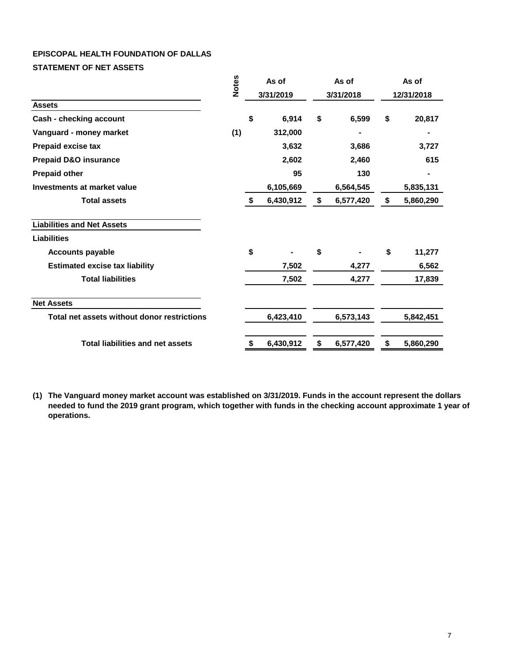## **EPISCOPAL HEALTH FOUNDATION OF DALLAS**

**STATEMENT OF NET ASSETS**

|                                             |     | <b>Notes</b><br>As of<br>3/31/2019 |           |           | As of     | As of      |           |  |
|---------------------------------------------|-----|------------------------------------|-----------|-----------|-----------|------------|-----------|--|
|                                             |     |                                    |           | 3/31/2018 |           | 12/31/2018 |           |  |
| <b>Assets</b>                               |     |                                    |           |           |           |            |           |  |
| Cash - checking account                     |     | \$                                 | 6,914     | \$        | 6,599     | \$         | 20,817    |  |
| Vanguard - money market                     | (1) |                                    | 312,000   |           |           |            |           |  |
| Prepaid excise tax                          |     |                                    | 3,632     |           | 3,686     |            | 3,727     |  |
| <b>Prepaid D&amp;O insurance</b>            |     |                                    | 2,602     |           | 2,460     |            | 615       |  |
| <b>Prepaid other</b>                        |     |                                    | 95        |           | 130       |            |           |  |
| Investments at market value                 |     |                                    | 6,105,669 |           | 6,564,545 |            | 5,835,131 |  |
| <b>Total assets</b>                         |     | \$                                 | 6,430,912 | \$        | 6,577,420 | \$         | 5,860,290 |  |
| <b>Liabilities and Net Assets</b>           |     |                                    |           |           |           |            |           |  |
| <b>Liabilities</b>                          |     |                                    |           |           |           |            |           |  |
| <b>Accounts payable</b>                     |     | \$                                 |           | \$        |           | \$         | 11,277    |  |
| <b>Estimated excise tax liability</b>       |     |                                    | 7,502     |           | 4,277     |            | 6,562     |  |
| <b>Total liabilities</b>                    |     |                                    | 7,502     |           | 4,277     |            | 17,839    |  |
| <b>Net Assets</b>                           |     |                                    |           |           |           |            |           |  |
| Total net assets without donor restrictions |     |                                    | 6,423,410 |           | 6,573,143 |            | 5,842,451 |  |
| <b>Total liabilities and net assets</b>     |     | \$                                 | 6,430,912 | \$        | 6,577,420 | \$         | 5,860,290 |  |

**(1) The Vanguard money market account was established on 3/31/2019. Funds in the account represent the dollars needed to fund the 2019 grant program, which together with funds in the checking account approximate 1 year of operations.**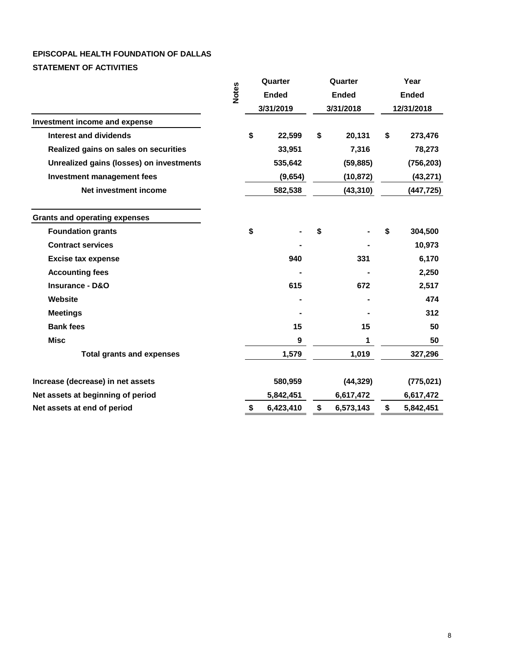# **EPISCOPAL HEALTH FOUNDATION OF DALLAS STATEMENT OF ACTIVITIES**

|                                          |                 | Quarter<br><b>Ended</b><br>3/31/2019 |           | Quarter   |              | Year         |            |
|------------------------------------------|-----------------|--------------------------------------|-----------|-----------|--------------|--------------|------------|
|                                          | <b>Notes</b>    |                                      |           |           | <b>Ended</b> | <b>Ended</b> |            |
|                                          |                 |                                      |           | 3/31/2018 |              | 12/31/2018   |            |
| Investment income and expense            |                 |                                      |           |           |              |              |            |
| Interest and dividends                   |                 | \$                                   | 22,599    | \$        | 20,131       | \$           | 273,476    |
| Realized gains on sales on securities    |                 |                                      | 33,951    |           | 7,316        |              | 78,273     |
| Unrealized gains (losses) on investments |                 |                                      | 535,642   |           | (59, 885)    |              | (756, 203) |
| <b>Investment management fees</b>        |                 |                                      | (9,654)   |           | (10, 872)    |              | (43, 271)  |
| Net investment income                    |                 |                                      | 582,538   |           | (43, 310)    |              | (447, 725) |
| <b>Grants and operating expenses</b>     |                 |                                      |           |           |              |              |            |
| <b>Foundation grants</b>                 |                 | \$                                   |           | \$        |              | \$           | 304,500    |
| <b>Contract services</b>                 |                 |                                      |           |           |              |              | 10,973     |
| <b>Excise tax expense</b>                |                 |                                      | 940       |           | 331          |              | 6,170      |
| <b>Accounting fees</b>                   |                 |                                      |           |           |              |              | 2,250      |
| Insurance - D&O                          |                 |                                      | 615       |           | 672          |              | 2,517      |
| Website                                  |                 |                                      |           |           |              |              | 474        |
| <b>Meetings</b>                          |                 |                                      |           |           |              |              | 312        |
| <b>Bank fees</b>                         |                 |                                      | 15        |           | 15           |              | 50         |
| <b>Misc</b>                              |                 |                                      | 9         |           | 1            |              | 50         |
| <b>Total grants and expenses</b>         |                 |                                      | 1,579     |           | 1,019        |              | 327,296    |
| Increase (decrease) in net assets        |                 |                                      | 580,959   |           | (44, 329)    |              | (775, 021) |
| Net assets at beginning of period        |                 |                                      | 5,842,451 |           | 6,617,472    |              | 6,617,472  |
| Net assets at end of period              | \$<br>6,423,410 |                                      |           | \$        | 6,573,143    | \$           | 5,842,451  |